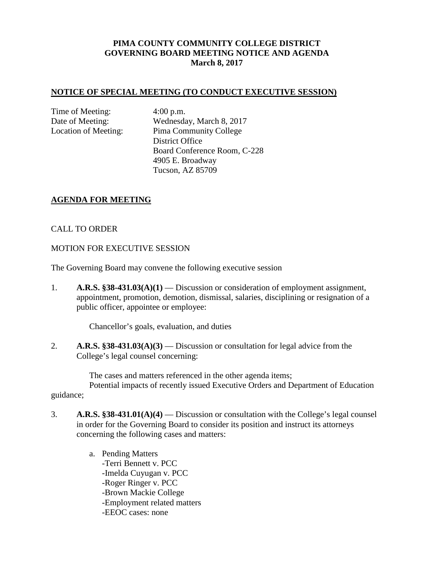## **PIMA COUNTY COMMUNITY COLLEGE DISTRICT GOVERNING BOARD MEETING NOTICE AND AGENDA March 8, 2017**

#### **NOTICE OF SPECIAL MEETING (TO CONDUCT EXECUTIVE SESSION)**

Time of Meeting: 4:00 p.m.

Date of Meeting: Wednesday, March 8, 2017 Location of Meeting: Pima Community College District Office Board Conference Room, C-228 4905 E. Broadway Tucson, AZ 85709

### **AGENDA FOR MEETING**

### CALL TO ORDER

#### MOTION FOR EXECUTIVE SESSION

The Governing Board may convene the following executive session

1. **A.R.S. §38-431.03(A)(1)** — Discussion or consideration of employment assignment, appointment, promotion, demotion, dismissal, salaries, disciplining or resignation of a public officer, appointee or employee:

Chancellor's goals, evaluation, and duties

2. **A.R.S. §38-431.03(A)(3)** — Discussion or consultation for legal advice from the College's legal counsel concerning:

The cases and matters referenced in the other agenda items; Potential impacts of recently issued Executive Orders and Department of Education

#### guidance;

- 3. **A.R.S. §38-431.01(A)(4)** Discussion or consultation with the College's legal counsel in order for the Governing Board to consider its position and instruct its attorneys concerning the following cases and matters:
	- a. Pending Matters -Terri Bennett v. PCC -Imelda Cuyugan v. PCC -Roger Ringer v. PCC -Brown Mackie College -Employment related matters -EEOC cases: none